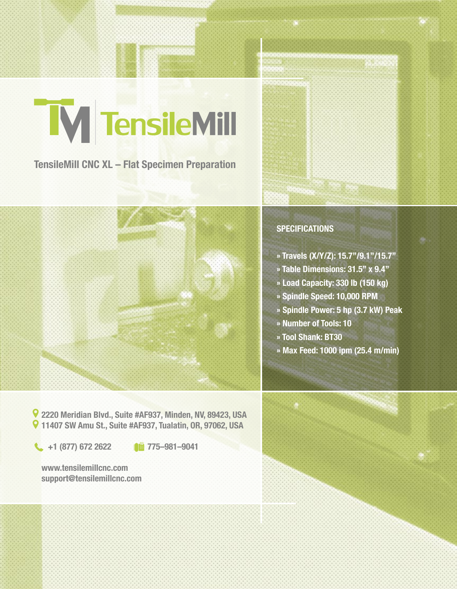# M TensileMill

**TensileMill CNC XL – Flat Specimen Preparation**



## **SPECIFICATIONS**

- **» Travels (X/Y/Z): 15.7"/9.1"/15.7"**
- **» Table Dimensions: 31.5" x 9.4"**
- **» Load Capacity: 330 lb (150 kg)**
- **» Spindle Speed: 10,000 RPM**
- **» Spindle Power: 5 hp (3.7 kW) Peak**
- **» Number of Tools: 10**
- **» Tool Shank: BT30**
- **» Max Feed: 1000 ipm (25.4 m/min)**

**2220 Meridian Blvd., Suite #AF937, Minden, NV, 89423, USA 11407 SW Amu St., Suite #AF937, Tualatin, OR, 97062, USA**

**1** +1 (877) 672 2622 **1 775–981–9041** 

**www.tensilemillcnc.com support@tensilemillcnc.com**